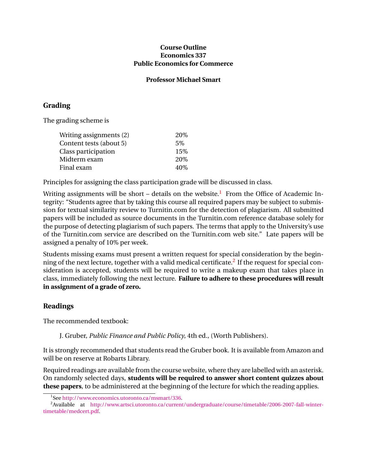### **Course Outline Economics 337 Public Economics for Commerce**

#### **Professor Michael Smart**

## **Grading**

The grading scheme is

| 20\% |
|------|
| 5%   |
| 15%  |
| 20\% |
| 40\% |
|      |

Principles for assigning the class participation grade will be discussed in class.

Writing assignments will be short – details on the website.<sup>1</sup> From the Office of Academic Integrity: "Students agree that by taking this course all required papers may be subject to submission for textual similarity review to Turnitin.com for the detection of plagiarism. All submitted papers will be included as source documents in the Turnitin.com reference database solely for the purpose of detecting plagiarism of such papers. The terms that apply to the University's use of the Turnitin.com service are described on the Turnitin.com web site." Late papers will be assigned a penalty of 10% per week.

Students missing exams must present a written request for special consideration by the beginning of the next lecture, together with a valid medical certificate. $^2$  If the request for special consideration is accepted, students will be required to write a makeup exam that takes place in class, immediately following the next lecture. **Failure to adhere to these procedures will result in assignment of a grade of zero.**

## **Readings**

The recommended textbook:

J. Gruber, *Public Finance and Public Policy*, 4th ed., (Worth Publishers).

It is strongly recommended that students read the Gruber book. It is available from Amazon and will be on reserve at Robarts Library.

Required readings are available from the course website, where they are labelled with an asterisk. On randomly selected days, **students will be required to answer short content quizzes about these papers**, to be administered at the beginning of the lecture for which the reading applies.

<sup>1</sup> See [http://www.economics.utoronto.ca/msmart/336.](http://www.economics.utoronto.ca/msmart/336)

<sup>2</sup>Available at [http://www.artsci.utoronto.ca/current/undergraduate/course/timetable/2006-2007-fall-winter](http://www.artsci.utoronto.ca/current/undergraduate/course/timetable/2006-2007-fall-winter-timetable/medcert.pdf)[timetable/medcert.pdf.](http://www.artsci.utoronto.ca/current/undergraduate/course/timetable/2006-2007-fall-winter-timetable/medcert.pdf)